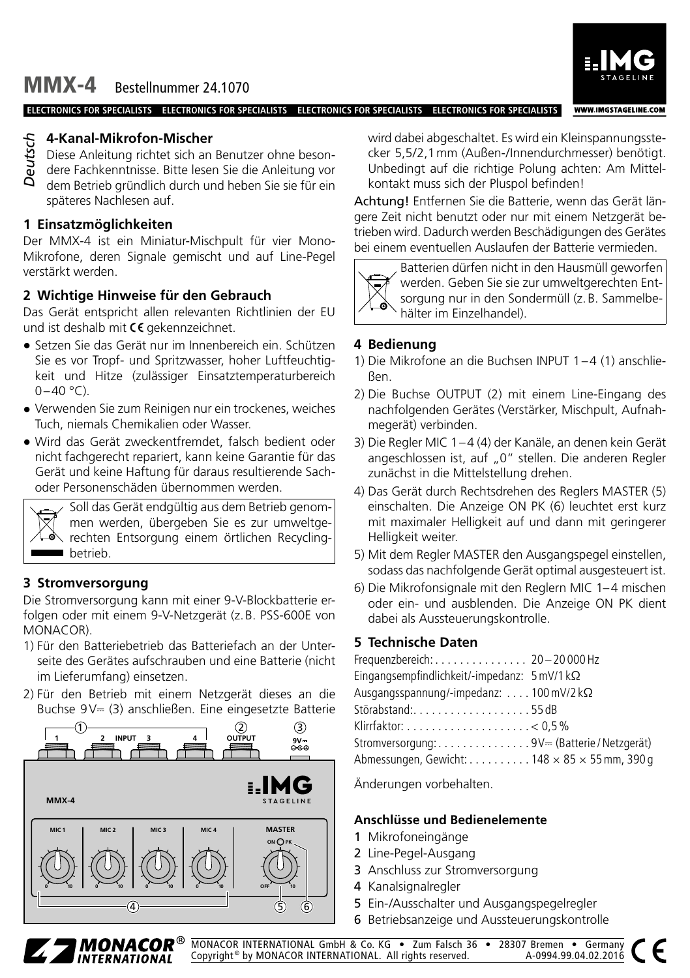MMX-4 Bestellnummer 24.1070

**ELECTRONICS FOR SPECIALISTS ELECTRONICS FOR SPECIALISTS ELECTRONICS FOR SPECIALISTS ELECTRONICS FOR SPECIALISTS**



Diese Anleitung richtet sich an Benutzer ohne besondere Fachkenntnisse. Bitte lesen Sie die Anleitung vor dem Betrieb gründlich durch und heben Sie sie für ein späteres Nachlesen auf.

## **1 Einsatzmöglichkeiten**

Der MMX-4 ist ein Miniatur-Mischpult für vier Mono-Mikrofone, deren Signale gemischt und auf Line-Pegel verstärkt werden.

# **2 Wichtige Hinweise für den Gebrauch**

Das Gerät entspricht allen relevanten Richtlinien der EU und ist deshalb mit  $C \epsilon$  gekennzeichnet.

- Setzen Sie das Gerät nur im Innenbereich ein. Schützen Sie es vor Tropf- und Spritzwasser, hoher Luftfeuchtigkeit und Hitze (zulässiger Einsatztemperaturbereich  $0-40$  °C).
- Verwenden Sie zum Reinigen nur ein trockenes, weiches Tuch, niemals Chemikalien oder Wasser.
- Wird das Gerät zweckentfremdet, falsch bedient oder nicht fachgerecht repariert, kann keine Garantie für das Gerät und keine Haftung für daraus resultierende Sachoder Personenschäden übernommen werden.



Soll das Gerät endgültig aus dem Betrieb genommen werden, übergeben Sie es zur umweltgerechten Entsorgung einem örtlichen Recycling**betrieb.** 

# **3 Stromversorgung**

Die Stromversorgung kann mit einer 9-V-Blockbatterie erfolgen oder mit einem 9-V-Netzgerät (z.B. PSS-600E von MONACOR).

- 1) Für den Batteriebetrieb das Batteriefach an der Unterseite des Gerätes aufschrauben und eine Batterie (nicht im Lieferumfang) einsetzen.
- 2) Für den Betrieb mit einem Netzgerät dieses an die Buchse 9V⎓ (3) anschließen. Eine eingesetzte Batterie



wird dabei abgeschaltet. Es wird ein Kleinspannungsstecker 5,5/2,1mm (Außen-/Innendurchmesser) benötigt. Unbedingt auf die richtige Polung achten: Am Mittelkontakt muss sich der Pluspol befinden!

**WWW.IMGSTAGELINE.COM** 

Achtung! Entfernen Sie die Batterie, wenn das Gerät längere Zeit nicht benutzt oder nur mit einem Netzgerät betrieben wird. Dadurch werden Beschädigungen des Gerätes bei einem eventuellen Auslaufen der Batterie vermieden.



Batterien dürfen nicht in den Hausmüll geworfen werden. Geben Sie sie zur umweltgerechten Entsorgung nur in den Sondermüll (z.B. Sammelbehälter im Einzelhandel).

## **4 Bedienung**

- 1) Die Mikrofone an die Buchsen INPUT 1–4 (1) anschließen.
- 2) Die Buchse OUTPUT (2) mit einem Line-Eingang des nachfolgenden Gerätes (Verstärker, Mischpult, Aufnahmegerät) verbinden.
- 3) Die Regler MIC 1–4 (4) der Kanäle, an denen kein Gerät angeschlossen ist, auf "0" stellen. Die anderen Regler zunächst in die Mittelstellung drehen.
- 4) Das Gerät durch Rechtsdrehen des Reglers MASTER (5) einschalten. Die Anzeige ON PK (6) leuchtet erst kurz mit maximaler Helligkeit auf und dann mit geringerer Helligkeit weiter.
- 5) Mit dem Regler MASTER den Ausgangspegel einstellen, sodass das nachfolgende Gerät optimal ausgesteuert ist.
- 6) Die Mikrofonsignale mit den Reglern MIC 1-4 mischen oder ein- und ausblenden. Die Anzeige ON PK dient dabei als Aussteuerungskontrolle.

## **5 Technische Daten**

| Frequenzbereich: 20 - 20 000 Hz                             |  |
|-------------------------------------------------------------|--|
| Eingangsempfindlichkeit/-impedanz: $5 \text{ mV/1 k}\Omega$ |  |
| Ausgangsspannung/-impedanz:  100 mV/2 k $\Omega$            |  |
| Störabstand:55dB                                            |  |
|                                                             |  |
| Stromversorgung:9V= (Batterie / Netzgerät)                  |  |
| Abmessungen, Gewicht: 148 $\times$ 85 $\times$ 55 mm, 390 g |  |

Änderungen vorbehalten.

#### **Anschlüsse und Bedienelemente**

- 1 Mikrofoneingänge
- 2 Line-Pegel-Ausgang
- 3 Anschluss zur Stromversorgung
- 4 Kanalsignalregler
- 5 Ein-/Ausschalter und Ausgangspegelregler
- 6 Betriebsanzeige und Aussteuerungskontrolle



MONACOR INTERNATIONAL GmbH & Co. KG • Zum Falsch 36 • 28307 Bremen • Germany Copyright<sup>®</sup> by MONACOR INTERNATIONAL. All rights reserved.

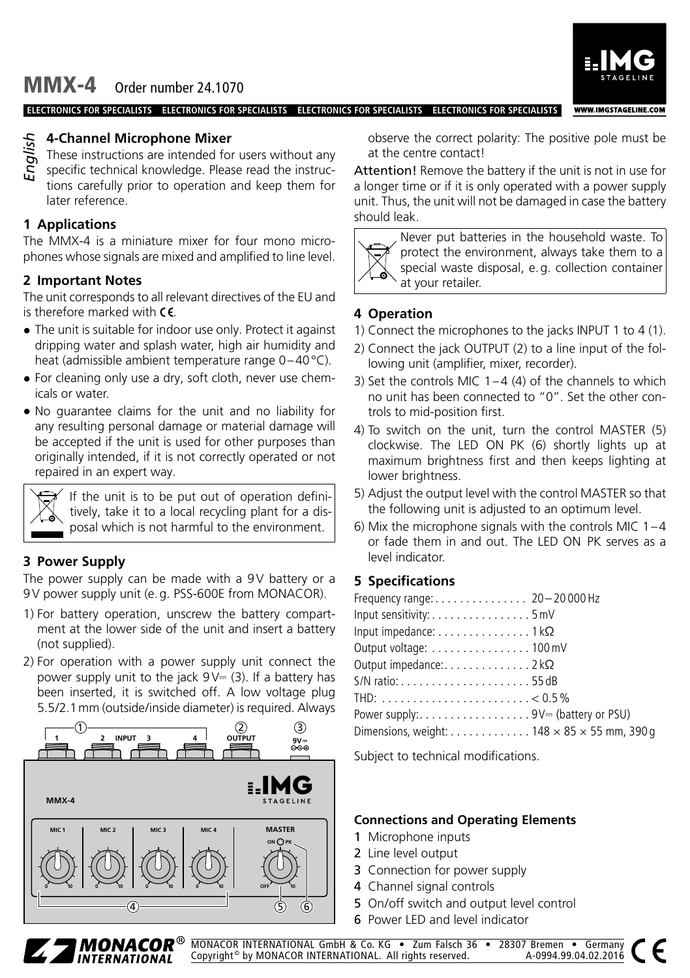MMX-4 Order number 24.1070



**WWW.IMGSTAGELINE.COM** 

**ELECTRONICS FOR SPECIALISTS ELECTRONICS FOR SPECIALISTS ELECTRONICS FOR SPECIALISTS ELECTRONICS FOR SPECIALISTS**

# **4-Channel Microphone Mixer**

These instructions are intended for users without any specific technical knowledge. Please read the instructions carefully prior to operation and keep them for later reference. *English*

# **1 Applications**

The MMX-4 is a miniature mixer for four mono microphones whose signals are mixed and amplified to line level.

## **2 Important Notes**

The unit corresponds to all relevant directives of the EU and is therefore marked with  $\mathsf{CE}$ .

- The unit is suitable for indoor use only. Protect it against dripping water and splash water, high air humidity and heat (admissible ambient temperature range 0–40°C).
- For cleaning only use a dry, soft cloth, never use chemicals or water.
- No guarantee claims for the unit and no liability for any resulting personal damage or material damage will be accepted if the unit is used for other purposes than originally intended, if it is not correctly operated or not repaired in an expert way.

If the unit is to be put out of operation definitively, take it to a local recycling plant for a disposal which is not harmful to the environment.

## **3 Power Supply**

The power supply can be made with a 9V battery or a 9V power supply unit (e.g. PSS-600E from MONACOR).

- 1) For battery operation, unscrew the battery compartment at the lower side of the unit and insert a battery (not supplied).
- 2) For operation with a power supply unit connect the power supply unit to the jack  $9V = (3)$ . If a battery has been inserted, it is switched off. A low voltage plug 5.5/2.1mm (outside/inside diameter) is required. Always



observe the correct polarity: The positive pole must be at the centre contact!

Attention! Remove the battery if the unit is not in use for a longer time or if it is only operated with a power supply unit. Thus, the unit will not be damaged in case the battery should leak.



Never put batteries in the household waste. To protect the environment, always take them to a special waste disposal, e.g. collection container at your retailer.

# **4 Operation**

- 1) Connect the microphones to the jacks INPUT 1 to 4 (1).
- 2) Connect the jack OUTPUT (2) to a line input of the following unit (amplifier, mixer, recorder).
- 3) Set the controls MIC  $1-4$  (4) of the channels to which no unit has been connected to "0". Set the other controls to mid-position first.
- 4) To switch on the unit, turn the control MASTER (5) clockwise. The LED ON PK (6) shortly lights up at maximum brightness first and then keeps lighting at lower brightness.
- 5) Adjust the output level with the control MASTER so that the following unit is adjusted to an optimum level.
- 6) Mix the microphone signals with the controls MIC 1–4 or fade them in and out. The LED ON PK serves as a level indicator.

# **5 Specifications**

| Frequency range: 20 - 20 000 Hz                               |  |
|---------------------------------------------------------------|--|
| Input sensitivity: 5 mV                                       |  |
| Input impedance: $\dots \dots \dots \dots \dots 1$ k $\Omega$ |  |
| Output voltage: 100 mV                                        |  |
| Output impedance: $\dots \dots \dots \dots \dots 2k\Omega$    |  |
|                                                               |  |
|                                                               |  |
| Power supply: 9V= (battery or PSU)                            |  |
| Dimensions, weight: 148 $\times$ 85 $\times$ 55 mm, 390 g     |  |

Subject to technical modifications.

#### **Connections and Operating Elements**

- 1 Microphone inputs
- 2 Line level output
- 3 Connection for power supply
- 4 Channel signal controls
- 5 On/off switch and output level control
- 6 Power LED and level indicator



MONACOR INTERNATIONAL GmbH & Co. KG • Zum Falsch 36 • 28307 Bremen • Germany Copyright<sup>®</sup> by MONACOR INTERNATIONAL. All rights reserved.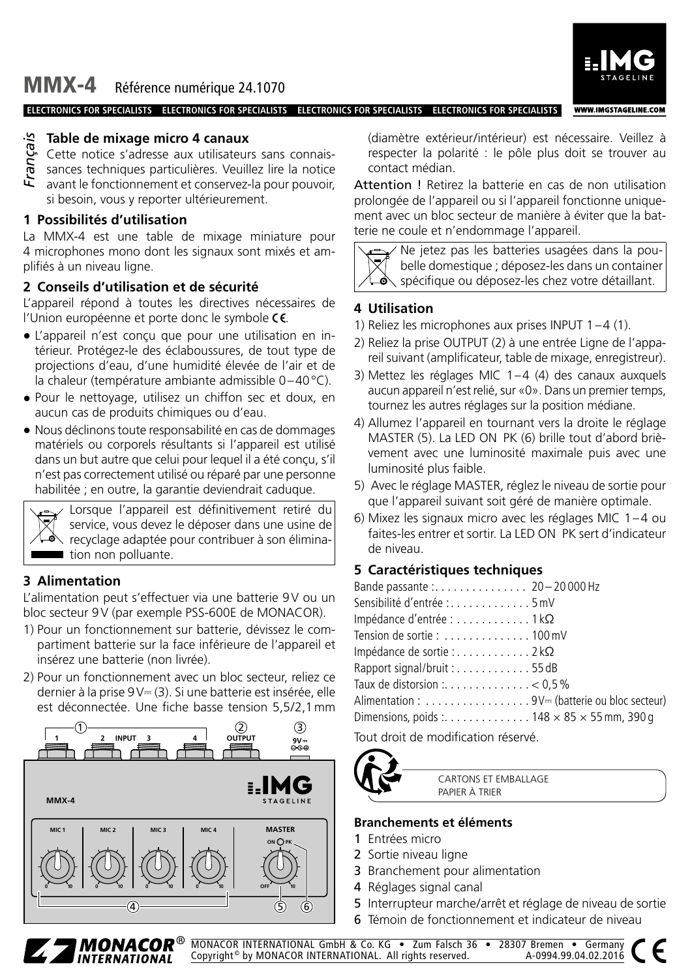MMX-4 Référence numérique 24.1070

#### **ELECTRONICS FOR SPECIALISTS ELECTRONICS FOR SPECIALISTS ELECTRONICS FOR SPECIALISTS ELECTRONICS FOR SPECIALISTS**



- Cette notice s'adresse aux utilisateurs sans connais-
- sances techniques particulières. Veuillez lire la notice *Français*
- avant le fonctionnement et conservez-la pour pouvoir, si besoin, vous y reporter ultérieurement.

## **1 Possibilités d'utilisation**

La MMX-4 est une table de mixage miniature pour 4 microphones mono dont les signaux sont mixés et amplifiés à un niveau ligne.

#### **2 Conseils d'utilisation et de sécurité**

L'appareil répond à toutes les directives nécessaires de l'Union européenne et porte donc le symbole CE.

- L'appareil n'est conçu que pour une utilisation en intérieur. Protégez-le des éclaboussures, de tout type de projections d'eau, d'une humidité élevée de l'air et de la chaleur (température ambiante admissible 0–40°C).
- Pour le nettoyage, utilisez un chiffon sec et doux, en aucun cas de produits chimiques ou d'eau.
- Nous déclinons toute responsabilité en cas de dommages matériels ou corporels résultants si l'appareil est utilisé dans un but autre que celui pour lequel il a été conçu, s'il n'est pas correctement utilisé ou réparé par une personne habilitée ; en outre, la garantie deviendrait caduque.



Lorsque l'appareil est définitivement retiré du service, vous devez le déposer dans une usine de recyclage adaptée pour contribuer à son élimination non polluante.

## **3 Alimentation**

L'alimentation peut s'effectuer via une batterie 9V ou un bloc secteur 9V (par exemple PSS-600E de MONACOR).

- 1) Pour un fonctionnement sur batterie, dévissez le compartiment batterie sur la face inférieure de l'appareil et insérez une batterie (non livrée).
- 2) Pour un fonctionnement avec un bloc secteur, reliez ce dernier à la prise 9V⎓ (3). Si une batterie est insérée, elle est déconnectée. Une fiche basse tension 5,5/2,1mm



(diamètre extérieur/intérieur) est nécessaire. Veillez à respecter la polarité : le pôle plus doit se trouver au contact médian.

**WWW.IMGSTAGELINE.COM** 

Attention ! Retirez la batterie en cas de non utilisation prolongée de l'appareil ou si l'appareil fonctionne uniquement avec un bloc secteur de manière à éviter que la batterie ne coule et n'endommage l'appareil.

Ne jetez pas les batteries usagées dans la poubelle domestique ; déposez-les dans un container spécifique ou déposez-les chez votre détaillant.

#### **4 Utilisation**

- 1) Reliez les microphones aux prises INPUT 1–4 (1).
- 2) Reliez la prise OUTPUT (2) à une entrée Ligne de l'appareil suivant (amplificateur, table de mixage, enregistreur).
- 3) Mettez les réglages MIC 1–4 (4) des canaux auxquels aucun appareil n'est relié, sur «0». Dans un premier temps, tournez les autres réglages sur la position médiane.
- 4) Allumez l'appareil en tournant vers la droite le réglage MASTER (5). La LED ON PK (6) brille tout d'abord brièvement avec une luminosité maximale puis avec une luminosité plus faible.
- 5) Avec le réglage MASTER, réglez le niveau de sortie pour que l'appareil suivant soit géré de manière optimale.
- 6) Mixez les signaux micro avec les réglages MIC 1–4 ou faites-les entrer et sortir. La LED ON PK sert d'indicateur de niveau.

#### **5 Caractéristiques techniques**

| Bande passante: 20-20000 Hz                               |  |
|-----------------------------------------------------------|--|
| Sensibilité d'entrée : 5 mV                               |  |
| Impédance d'entrée : 1 k $\Omega$                         |  |
| Tension de sortie: $\dots\dots\dots\dots$ 100 mV          |  |
| Impédance de sortie : 2 k $\Omega$                        |  |
| Rapport signal/bruit:55dB                                 |  |
|                                                           |  |
| Alimentation: 9V= (batterie ou bloc secteur)              |  |
| Dimensions, poids : 148 $\times$ 85 $\times$ 55 mm, 390 g |  |
|                                                           |  |

Tout droit de modification réservé.



CARTONS ET EMBALLAGE PAPIER À TRIER

#### **Branchements et éléments**

- 1 Entrées micro
- 2 Sortie niveau ligne
- 3 Branchement pour alimentation
- 4 Réglages signal canal
- 5 Interrupteur marche/arrêt et réglage de niveau de sortie
- 6 Témoin de fonctionnement et indicateur de niveau



MONACOR INTERNATIONAL GmbH & Co. KG • Zum Falsch 36 • 28307 Bremen • Germany Copyright<sup>®</sup> by MONACOR INTERNATIONAL. All rights reserved.